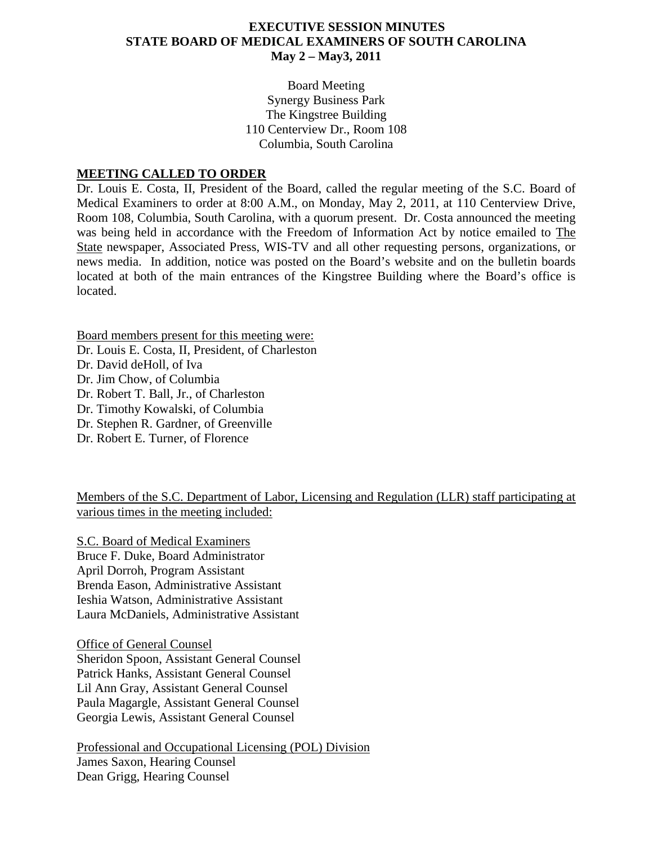### **EXECUTIVE SESSION MINUTES STATE BOARD OF MEDICAL EXAMINERS OF SOUTH CAROLINA May 2 – May3, 2011**

Board Meeting Synergy Business Park The Kingstree Building 110 Centerview Dr., Room 108 Columbia, South Carolina

#### **MEETING CALLED TO ORDER**

Dr. Louis E. Costa, II, President of the Board, called the regular meeting of the S.C. Board of Medical Examiners to order at 8:00 A.M., on Monday, May 2, 2011, at 110 Centerview Drive, Room 108, Columbia, South Carolina, with a quorum present. Dr. Costa announced the meeting was being held in accordance with the Freedom of Information Act by notice emailed to The State newspaper, Associated Press, WIS-TV and all other requesting persons, organizations, or news media. In addition, notice was posted on the Board's website and on the bulletin boards located at both of the main entrances of the Kingstree Building where the Board's office is located.

Board members present for this meeting were: Dr. Louis E. Costa, II, President, of Charleston Dr. David deHoll, of Iva Dr. Jim Chow, of Columbia Dr. Robert T. Ball, Jr., of Charleston Dr. Timothy Kowalski, of Columbia Dr. Stephen R. Gardner, of Greenville Dr. Robert E. Turner, of Florence

Members of the S.C. Department of Labor, Licensing and Regulation (LLR) staff participating at various times in the meeting included:

S.C. Board of Medical Examiners Bruce F. Duke, Board Administrator April Dorroh, Program Assistant Brenda Eason, Administrative Assistant Ieshia Watson, Administrative Assistant Laura McDaniels, Administrative Assistant

Office of General Counsel Sheridon Spoon, Assistant General Counsel Patrick Hanks, Assistant General Counsel Lil Ann Gray, Assistant General Counsel Paula Magargle, Assistant General Counsel Georgia Lewis, Assistant General Counsel

Professional and Occupational Licensing (POL) Division James Saxon, Hearing Counsel Dean Grigg, Hearing Counsel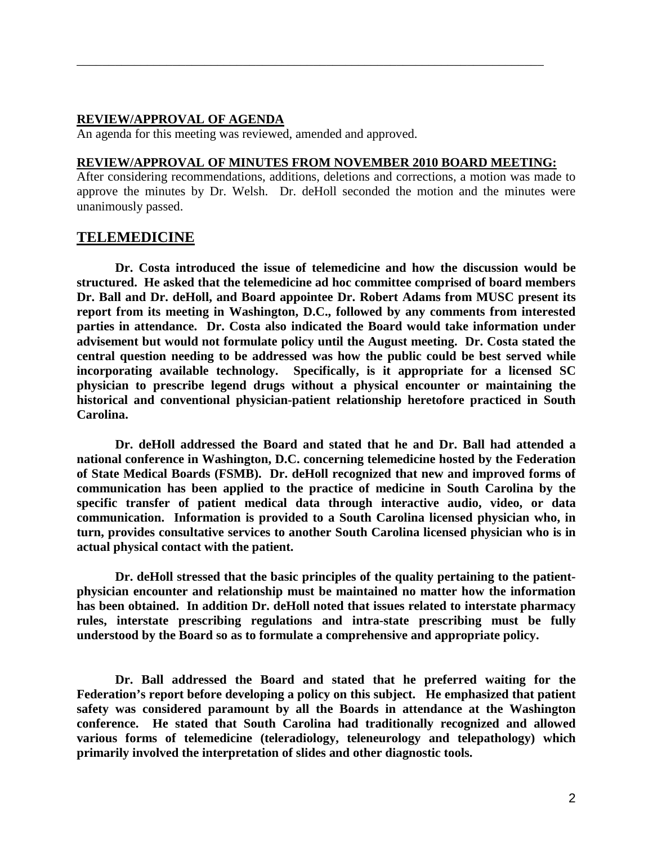#### **REVIEW/APPROVAL OF AGENDA**

An agenda for this meeting was reviewed, amended and approved.

#### **REVIEW/APPROVAL OF MINUTES FROM NOVEMBER 2010 BOARD MEETING:**

\_\_\_\_\_\_\_\_\_\_\_\_\_\_\_\_\_\_\_\_\_\_\_\_\_\_\_\_\_\_\_\_\_\_\_\_\_\_\_\_\_\_\_\_\_\_\_\_\_\_\_\_\_\_\_\_\_\_\_\_\_\_\_\_\_\_\_\_\_\_\_\_\_

After considering recommendations, additions, deletions and corrections, a motion was made to approve the minutes by Dr. Welsh. Dr. deHoll seconded the motion and the minutes were unanimously passed.

### **TELEMEDICINE**

**Dr. Costa introduced the issue of telemedicine and how the discussion would be structured. He asked that the telemedicine ad hoc committee comprised of board members Dr. Ball and Dr. deHoll, and Board appointee Dr. Robert Adams from MUSC present its report from its meeting in Washington, D.C., followed by any comments from interested parties in attendance. Dr. Costa also indicated the Board would take information under advisement but would not formulate policy until the August meeting. Dr. Costa stated the central question needing to be addressed was how the public could be best served while incorporating available technology. Specifically, is it appropriate for a licensed SC physician to prescribe legend drugs without a physical encounter or maintaining the historical and conventional physician-patient relationship heretofore practiced in South Carolina.**

**Dr. deHoll addressed the Board and stated that he and Dr. Ball had attended a national conference in Washington, D.C. concerning telemedicine hosted by the Federation of State Medical Boards (FSMB). Dr. deHoll recognized that new and improved forms of communication has been applied to the practice of medicine in South Carolina by the specific transfer of patient medical data through interactive audio, video, or data communication. Information is provided to a South Carolina licensed physician who, in turn, provides consultative services to another South Carolina licensed physician who is in actual physical contact with the patient.**

**Dr. deHoll stressed that the basic principles of the quality pertaining to the patientphysician encounter and relationship must be maintained no matter how the information has been obtained. In addition Dr. deHoll noted that issues related to interstate pharmacy rules, interstate prescribing regulations and intra-state prescribing must be fully understood by the Board so as to formulate a comprehensive and appropriate policy.**

**Dr. Ball addressed the Board and stated that he preferred waiting for the Federation's report before developing a policy on this subject. He emphasized that patient safety was considered paramount by all the Boards in attendance at the Washington conference. He stated that South Carolina had traditionally recognized and allowed various forms of telemedicine (teleradiology, teleneurology and telepathology) which primarily involved the interpretation of slides and other diagnostic tools.**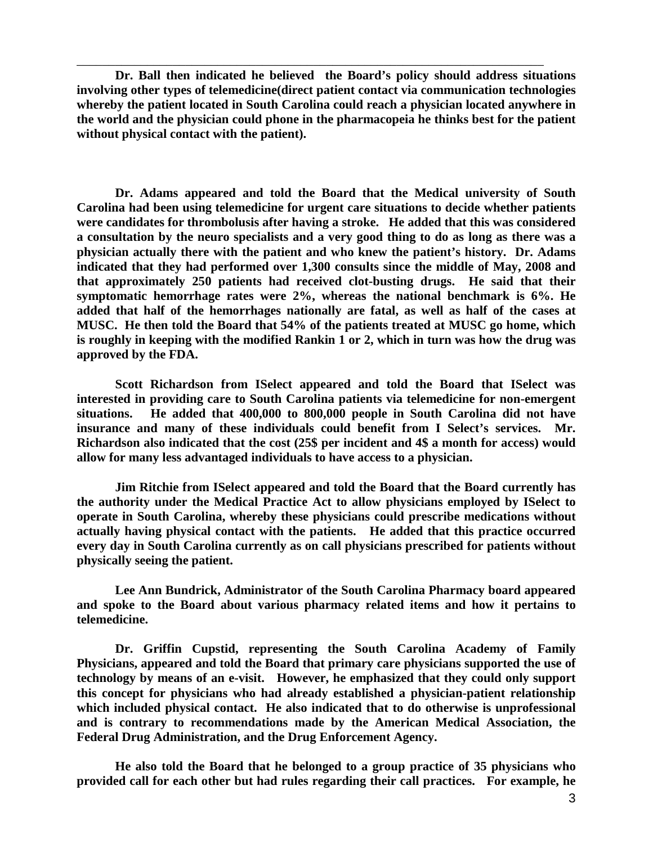**Dr. Ball then indicated he believed the Board's policy should address situations involving other types of telemedicine(direct patient contact via communication technologies whereby the patient located in South Carolina could reach a physician located anywhere in the world and the physician could phone in the pharmacopeia he thinks best for the patient without physical contact with the patient).** 

\_\_\_\_\_\_\_\_\_\_\_\_\_\_\_\_\_\_\_\_\_\_\_\_\_\_\_\_\_\_\_\_\_\_\_\_\_\_\_\_\_\_\_\_\_\_\_\_\_\_\_\_\_\_\_\_\_\_\_\_\_\_\_\_\_\_\_\_\_\_\_\_\_

**Dr. Adams appeared and told the Board that the Medical university of South Carolina had been using telemedicine for urgent care situations to decide whether patients were candidates for thrombolusis after having a stroke. He added that this was considered a consultation by the neuro specialists and a very good thing to do as long as there was a physician actually there with the patient and who knew the patient's history. Dr. Adams indicated that they had performed over 1,300 consults since the middle of May, 2008 and that approximately 250 patients had received clot-busting drugs. He said that their symptomatic hemorrhage rates were 2%, whereas the national benchmark is 6%. He added that half of the hemorrhages nationally are fatal, as well as half of the cases at MUSC. He then told the Board that 54% of the patients treated at MUSC go home, which is roughly in keeping with the modified Rankin 1 or 2, which in turn was how the drug was approved by the FDA.**

**Scott Richardson from ISelect appeared and told the Board that ISelect was interested in providing care to South Carolina patients via telemedicine for non-emergent situations. He added that 400,000 to 800,000 people in South Carolina did not have insurance and many of these individuals could benefit from I Select's services. Mr. Richardson also indicated that the cost (25\$ per incident and 4\$ a month for access) would allow for many less advantaged individuals to have access to a physician.**

**Jim Ritchie from ISelect appeared and told the Board that the Board currently has the authority under the Medical Practice Act to allow physicians employed by ISelect to operate in South Carolina, whereby these physicians could prescribe medications without actually having physical contact with the patients. He added that this practice occurred every day in South Carolina currently as on call physicians prescribed for patients without physically seeing the patient.**

**Lee Ann Bundrick, Administrator of the South Carolina Pharmacy board appeared and spoke to the Board about various pharmacy related items and how it pertains to telemedicine.**

**Dr. Griffin Cupstid, representing the South Carolina Academy of Family Physicians, appeared and told the Board that primary care physicians supported the use of technology by means of an e-visit. However, he emphasized that they could only support this concept for physicians who had already established a physician-patient relationship which included physical contact. He also indicated that to do otherwise is unprofessional and is contrary to recommendations made by the American Medical Association, the Federal Drug Administration, and the Drug Enforcement Agency.** 

**He also told the Board that he belonged to a group practice of 35 physicians who provided call for each other but had rules regarding their call practices. For example, he**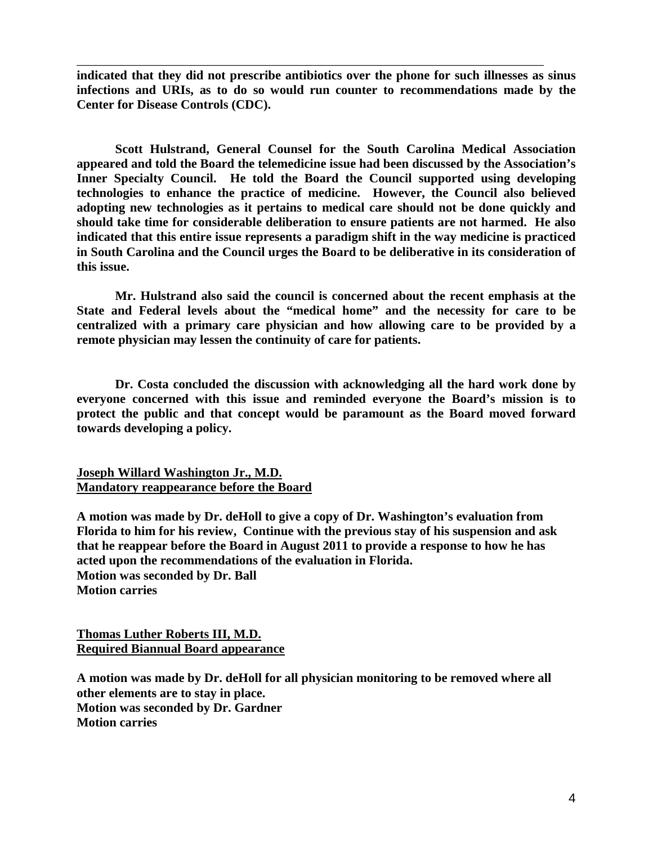**indicated that they did not prescribe antibiotics over the phone for such illnesses as sinus infections and URIs, as to do so would run counter to recommendations made by the Center for Disease Controls (CDC).**

\_\_\_\_\_\_\_\_\_\_\_\_\_\_\_\_\_\_\_\_\_\_\_\_\_\_\_\_\_\_\_\_\_\_\_\_\_\_\_\_\_\_\_\_\_\_\_\_\_\_\_\_\_\_\_\_\_\_\_\_\_\_\_\_\_\_\_\_\_\_\_\_\_

**Scott Hulstrand, General Counsel for the South Carolina Medical Association appeared and told the Board the telemedicine issue had been discussed by the Association's Inner Specialty Council. He told the Board the Council supported using developing technologies to enhance the practice of medicine. However, the Council also believed adopting new technologies as it pertains to medical care should not be done quickly and should take time for considerable deliberation to ensure patients are not harmed. He also indicated that this entire issue represents a paradigm shift in the way medicine is practiced in South Carolina and the Council urges the Board to be deliberative in its consideration of this issue.** 

**Mr. Hulstrand also said the council is concerned about the recent emphasis at the State and Federal levels about the "medical home" and the necessity for care to be centralized with a primary care physician and how allowing care to be provided by a remote physician may lessen the continuity of care for patients.**

**Dr. Costa concluded the discussion with acknowledging all the hard work done by everyone concerned with this issue and reminded everyone the Board's mission is to protect the public and that concept would be paramount as the Board moved forward towards developing a policy.**

**Joseph Willard Washington Jr., M.D. Mandatory reappearance before the Board**

**A motion was made by Dr. deHoll to give a copy of Dr. Washington's evaluation from Florida to him for his review, Continue with the previous stay of his suspension and ask that he reappear before the Board in August 2011 to provide a response to how he has acted upon the recommendations of the evaluation in Florida. Motion was seconded by Dr. Ball Motion carries**

**Thomas Luther Roberts III, M.D. Required Biannual Board appearance**

**A motion was made by Dr. deHoll for all physician monitoring to be removed where all other elements are to stay in place. Motion was seconded by Dr. Gardner Motion carries**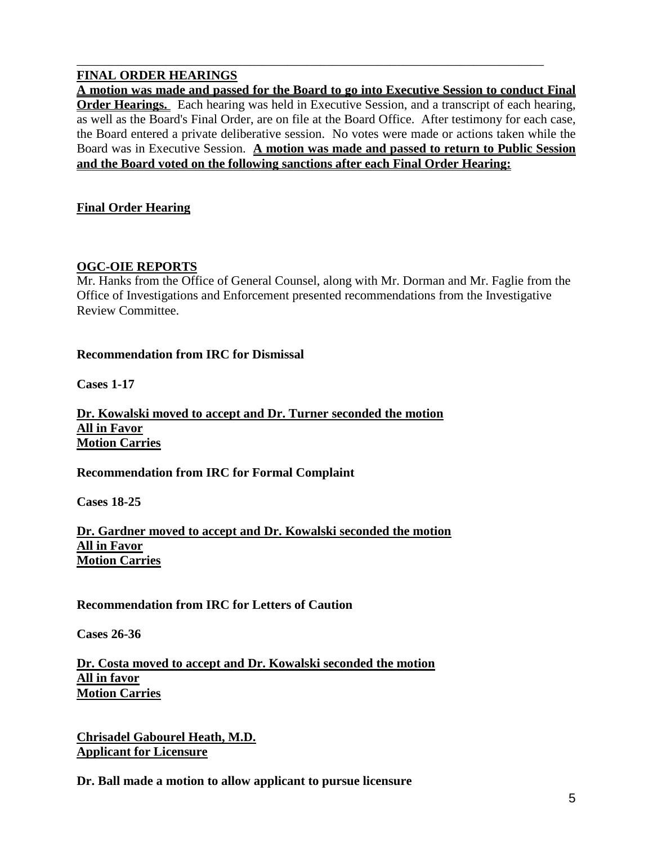# **FINAL ORDER HEARINGS**

**A motion was made and passed for the Board to go into Executive Session to conduct Final Order Hearings.** Each hearing was held in Executive Session, and a transcript of each hearing, as well as the Board's Final Order, are on file at the Board Office. After testimony for each case, the Board entered a private deliberative session. No votes were made or actions taken while the Board was in Executive Session. **A motion was made and passed to return to Public Session and the Board voted on the following sanctions after each Final Order Hearing:**

\_\_\_\_\_\_\_\_\_\_\_\_\_\_\_\_\_\_\_\_\_\_\_\_\_\_\_\_\_\_\_\_\_\_\_\_\_\_\_\_\_\_\_\_\_\_\_\_\_\_\_\_\_\_\_\_\_\_\_\_\_\_\_\_\_\_\_\_\_\_\_\_\_

### **Final Order Hearing**

### **OGC-OIE REPORTS**

Mr. Hanks from the Office of General Counsel, along with Mr. Dorman and Mr. Faglie from the Office of Investigations and Enforcement presented recommendations from the Investigative Review Committee.

#### **Recommendation from IRC for Dismissal**

**Cases 1-17**

**Dr. Kowalski moved to accept and Dr. Turner seconded the motion All in Favor Motion Carries**

**Recommendation from IRC for Formal Complaint**

**Cases 18-25**

**Dr. Gardner moved to accept and Dr. Kowalski seconded the motion All in Favor Motion Carries**

**Recommendation from IRC for Letters of Caution**

**Cases 26-36**

**Dr. Costa moved to accept and Dr. Kowalski seconded the motion All in favor Motion Carries**

**Chrisadel Gabourel Heath, M.D. Applicant for Licensure**

**Dr. Ball made a motion to allow applicant to pursue licensure**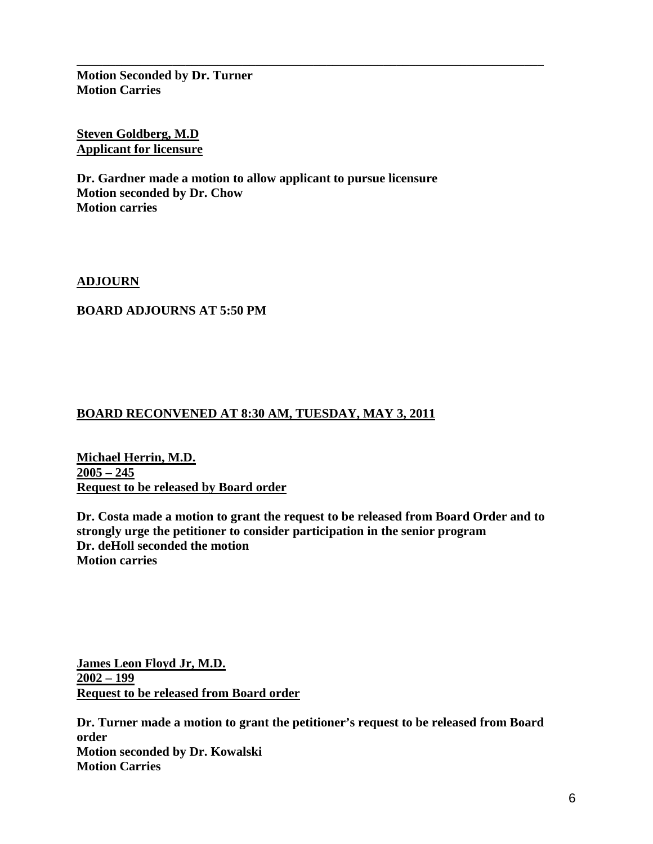**Motion Seconded by Dr. Turner Motion Carries**

**Steven Goldberg, M.D Applicant for licensure**

**Dr. Gardner made a motion to allow applicant to pursue licensure Motion seconded by Dr. Chow Motion carries**

\_\_\_\_\_\_\_\_\_\_\_\_\_\_\_\_\_\_\_\_\_\_\_\_\_\_\_\_\_\_\_\_\_\_\_\_\_\_\_\_\_\_\_\_\_\_\_\_\_\_\_\_\_\_\_\_\_\_\_\_\_\_\_\_\_\_\_\_\_\_\_\_\_

**ADJOURN**

### **BOARD ADJOURNS AT 5:50 PM**

# **BOARD RECONVENED AT 8:30 AM, TUESDAY, MAY 3, 2011**

**Michael Herrin, M.D. 2005 – 245 Request to be released by Board order**

**Dr. Costa made a motion to grant the request to be released from Board Order and to strongly urge the petitioner to consider participation in the senior program Dr. deHoll seconded the motion Motion carries**

**James Leon Floyd Jr, M.D. 2002 – 199 Request to be released from Board order**

**Dr. Turner made a motion to grant the petitioner's request to be released from Board order Motion seconded by Dr. Kowalski Motion Carries**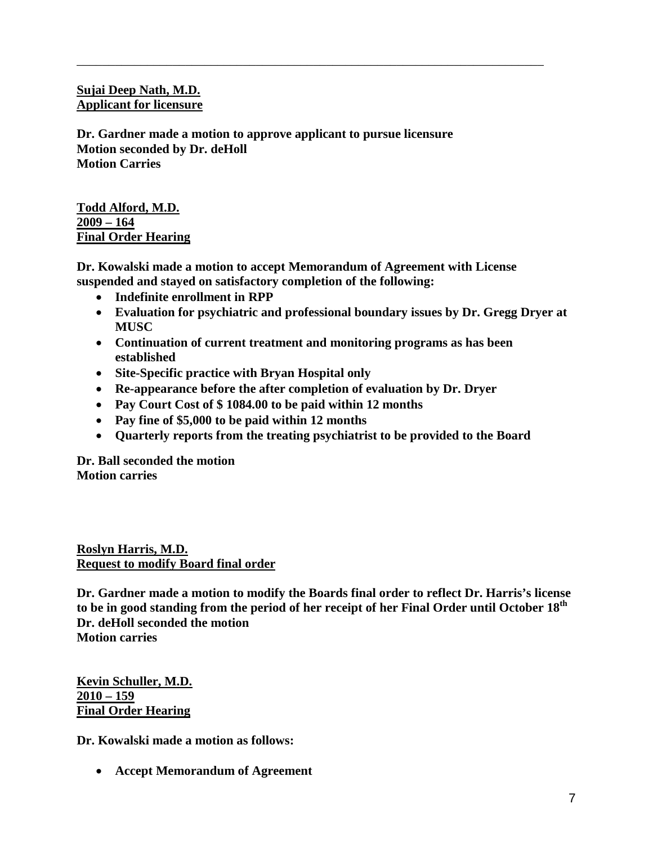# **Sujai Deep Nath, M.D. Applicant for licensure**

**Dr. Gardner made a motion to approve applicant to pursue licensure Motion seconded by Dr. deHoll Motion Carries**

### **Todd Alford, M.D. 2009 – 164 Final Order Hearing**

**Dr. Kowalski made a motion to accept Memorandum of Agreement with License suspended and stayed on satisfactory completion of the following:**

\_\_\_\_\_\_\_\_\_\_\_\_\_\_\_\_\_\_\_\_\_\_\_\_\_\_\_\_\_\_\_\_\_\_\_\_\_\_\_\_\_\_\_\_\_\_\_\_\_\_\_\_\_\_\_\_\_\_\_\_\_\_\_\_\_\_\_\_\_\_\_\_\_

- **Indefinite enrollment in RPP**
- **Evaluation for psychiatric and professional boundary issues by Dr. Gregg Dryer at MUSC**
- **Continuation of current treatment and monitoring programs as has been established**
- **Site-Specific practice with Bryan Hospital only**
- **Re-appearance before the after completion of evaluation by Dr. Dryer**
- **Pay Court Cost of \$ 1084.00 to be paid within 12 months**
- **Pay fine of \$5,000 to be paid within 12 months**
- **Quarterly reports from the treating psychiatrist to be provided to the Board**

**Dr. Ball seconded the motion Motion carries**

**Roslyn Harris, M.D. Request to modify Board final order**

**Dr. Gardner made a motion to modify the Boards final order to reflect Dr. Harris's license to be in good standing from the period of her receipt of her Final Order until October 18th Dr. deHoll seconded the motion Motion carries**

**Kevin Schuller, M.D. 2010 – 159 Final Order Hearing**

**Dr. Kowalski made a motion as follows:**

• **Accept Memorandum of Agreement**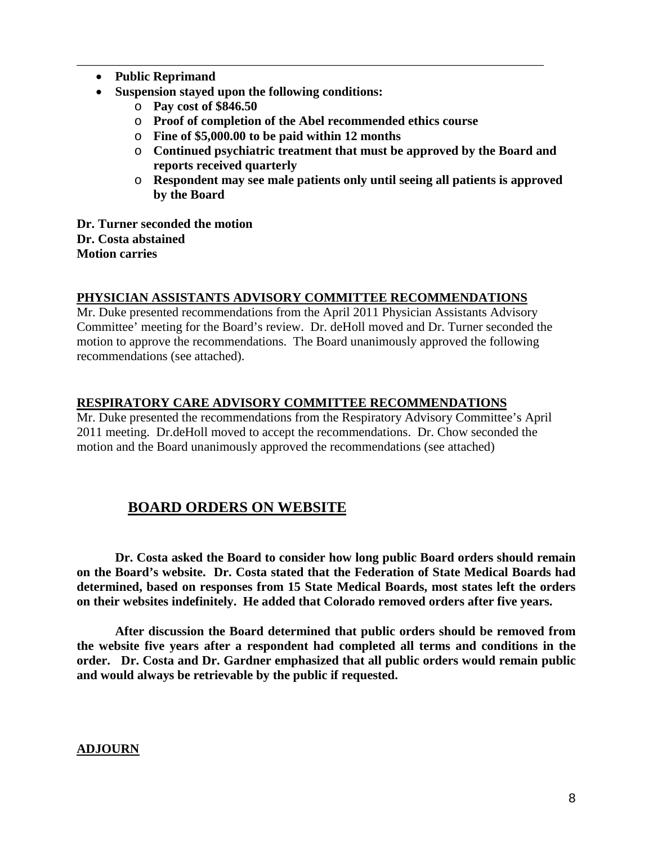- **Public Reprimand**
- **Suspension stayed upon the following conditions:**
	- o **Pay cost of \$846.50**
	- o **Proof of completion of the Abel recommended ethics course**

\_\_\_\_\_\_\_\_\_\_\_\_\_\_\_\_\_\_\_\_\_\_\_\_\_\_\_\_\_\_\_\_\_\_\_\_\_\_\_\_\_\_\_\_\_\_\_\_\_\_\_\_\_\_\_\_\_\_\_\_\_\_\_\_\_\_\_\_\_\_\_\_\_

- o **Fine of \$5,000.00 to be paid within 12 months**
- o **Continued psychiatric treatment that must be approved by the Board and reports received quarterly**
- o **Respondent may see male patients only until seeing all patients is approved by the Board**

**Dr. Turner seconded the motion Dr. Costa abstained Motion carries**

#### **PHYSICIAN ASSISTANTS ADVISORY COMMITTEE RECOMMENDATIONS**

Mr. Duke presented recommendations from the April 2011 Physician Assistants Advisory Committee' meeting for the Board's review. Dr. deHoll moved and Dr. Turner seconded the motion to approve the recommendations. The Board unanimously approved the following recommendations (see attached).

#### **RESPIRATORY CARE ADVISORY COMMITTEE RECOMMENDATIONS**

Mr. Duke presented the recommendations from the Respiratory Advisory Committee's April 2011 meeting. Dr.deHoll moved to accept the recommendations. Dr. Chow seconded the motion and the Board unanimously approved the recommendations (see attached)

# **BOARD ORDERS ON WEBSITE**

**Dr. Costa asked the Board to consider how long public Board orders should remain on the Board's website. Dr. Costa stated that the Federation of State Medical Boards had determined, based on responses from 15 State Medical Boards, most states left the orders on their websites indefinitely. He added that Colorado removed orders after five years.** 

**After discussion the Board determined that public orders should be removed from the website five years after a respondent had completed all terms and conditions in the order. Dr. Costa and Dr. Gardner emphasized that all public orders would remain public and would always be retrievable by the public if requested.** 

#### **ADJOURN**